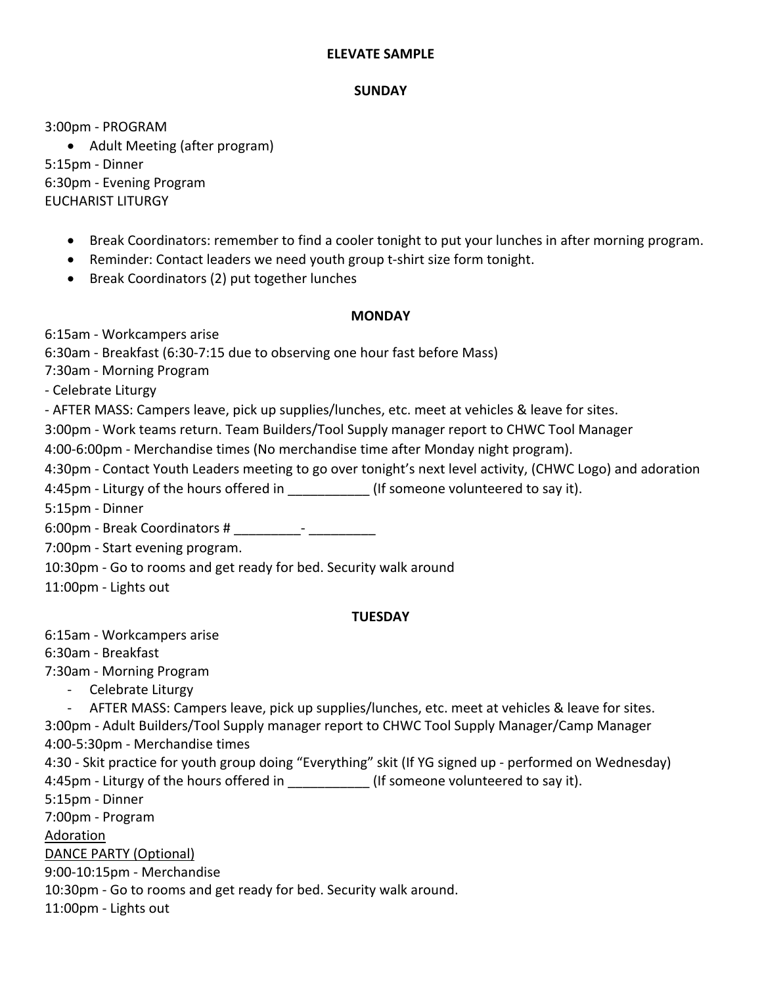## **ELEVATE SAMPLE**

## **SUNDAY**

3:00pm - PROGRAM

• Adult Meeting (after program) 5:15pm - Dinner 6:30pm - Evening Program EUCHARIST LITURGY

- Break Coordinators: remember to find a cooler tonight to put your lunches in after morning program.
- Reminder: Contact leaders we need youth group t-shirt size form tonight.
- Break Coordinators (2) put together lunches

## **MONDAY**

6:15am - Workcampers arise

6:30am - Breakfast (6:30-7:15 due to observing one hour fast before Mass)

7:30am - Morning Program

*-* Celebrate Liturgy

- AFTER MASS: Campers leave, pick up supplies/lunches, etc. meet at vehicles & leave for sites.

3:00pm - Work teams return. Team Builders/Tool Supply manager report to CHWC Tool Manager

4:00-6:00pm - Merchandise times (No merchandise time after Monday night program).

4:30pm - Contact Youth Leaders meeting to go over tonight's next level activity, (CHWC Logo) and adoration

4:45pm - Liturgy of the hours offered in \_\_\_\_\_\_\_\_\_\_\_\_\_(If someone volunteered to say it).

5:15pm - Dinner

6:00pm - Break Coordinators # \_\_\_\_\_\_\_\_\_- \_\_\_\_\_\_\_\_\_

7:00pm - Start evening program.

10:30pm - Go to rooms and get ready for bed. Security walk around

11:00pm - Lights out

# **TUESDAY**

6:15am - Workcampers arise

6:30am - Breakfast

7:30am - Morning Program

- Celebrate Liturgy

- AFTER MASS: Campers leave, pick up supplies/lunches, etc. meet at vehicles & leave for sites. 3:00pm - Adult Builders/Tool Supply manager report to CHWC Tool Supply Manager/Camp Manager 4:00-5:30pm - Merchandise times

4:30 - Skit practice for youth group doing "Everything" skit (If YG signed up - performed on Wednesday) 4:45pm - Liturgy of the hours offered in \_\_\_\_\_\_\_\_\_\_\_\_ (If someone volunteered to say it).

5:15pm - Dinner

7:00pm - Program

Adoration

DANCE PARTY (Optional)

9:00-10:15pm - Merchandise

10:30pm - Go to rooms and get ready for bed. Security walk around.

11:00pm - Lights out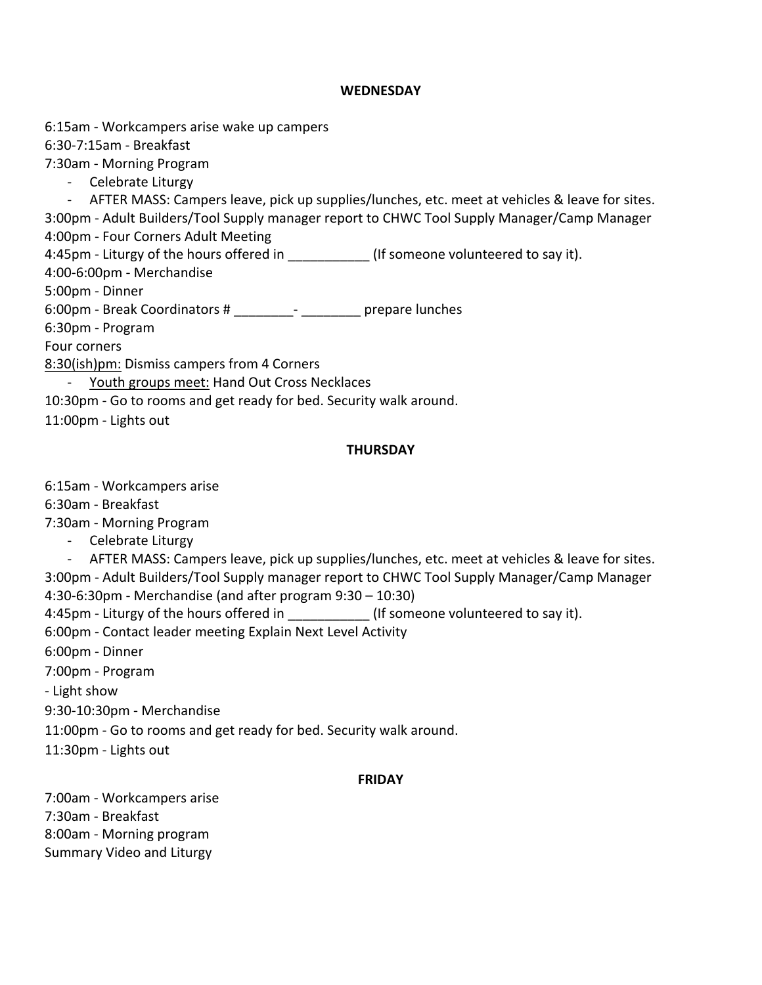#### **WEDNESDAY**

6:15am - Workcampers arise wake up campers

6:30-7:15am - Breakfast

7:30am - Morning Program

- Celebrate Liturgy

- AFTER MASS: Campers leave, pick up supplies/lunches, etc. meet at vehicles & leave for sites.

3:00pm - Adult Builders/Tool Supply manager report to CHWC Tool Supply Manager/Camp Manager 4:00pm - Four Corners Adult Meeting

4:45pm - Liturgy of the hours offered in \_\_\_\_\_\_\_\_\_\_\_\_\_ (If someone volunteered to say it).

4:00-6:00pm - Merchandise

5:00pm - Dinner

6:00pm - Break Coordinators # \_\_\_\_\_\_\_\_- \_\_\_\_\_\_\_\_ prepare lunches

6:30pm - Program

Four corners

8:30(ish)pm: Dismiss campers from 4 Corners

- Youth groups meet: Hand Out Cross Necklaces

10:30pm - Go to rooms and get ready for bed. Security walk around.

11:00pm - Lights out

## **THURSDAY**

6:15am - Workcampers arise

6:30am - Breakfast

7:30am - Morning Program

- Celebrate Liturgy

- AFTER MASS: Campers leave, pick up supplies/lunches, etc. meet at vehicles & leave for sites. 3:00pm - Adult Builders/Tool Supply manager report to CHWC Tool Supply Manager/Camp Manager 4:30-6:30pm - Merchandise (and after program 9:30 – 10:30)

4:45pm - Liturgy of the hours offered in  $\qquad \qquad$  (If someone volunteered to say it).

6:00pm - Contact leader meeting Explain Next Level Activity

6:00pm - Dinner

7:00pm - Program

- Light show

9:30-10:30pm - Merchandise

11:00pm - Go to rooms and get ready for bed. Security walk around.

11:30pm - Lights out

## **FRIDAY**

7:00am - Workcampers arise 7:30am - Breakfast 8:00am - Morning program Summary Video and Liturgy